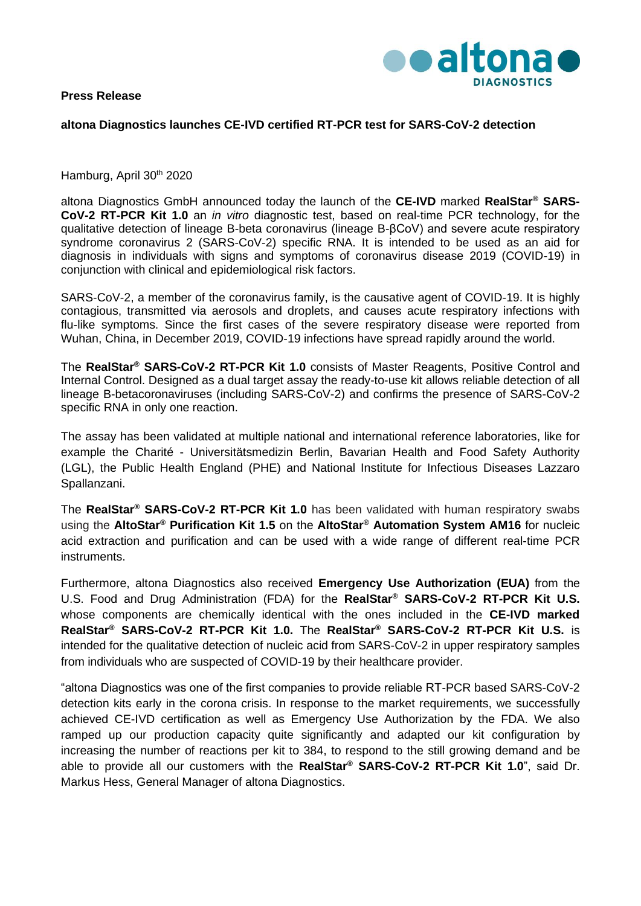**Press Release**



## **altona Diagnostics launches CE-IVD certified RT-PCR test for SARS-CoV-2 detection**

Hamburg, April 30<sup>th</sup> 2020

altona Diagnostics GmbH announced today the launch of the **CE-IVD** marked **RealStar® SARS-CoV-2 RT-PCR Kit 1.0** an *in vitro* diagnostic test, based on real-time PCR technology, for the qualitative detection of lineage B-beta coronavirus (lineage B-βCoV) and severe acute respiratory syndrome coronavirus 2 (SARS-CoV-2) specific RNA. It is intended to be used as an aid for diagnosis in individuals with signs and symptoms of coronavirus disease 2019 (COVID-19) in conjunction with clinical and epidemiological risk factors.

SARS-CoV-2, a member of the coronavirus family, is the causative agent of COVID-19. It is highly contagious, transmitted via aerosols and droplets, and causes acute respiratory infections with flu-like symptoms. Since the first cases of the severe respiratory disease were reported from Wuhan, China, in December 2019, COVID-19 infections have spread rapidly around the world.

The **RealStar® SARS-CoV-2 RT-PCR Kit 1.0** consists of Master Reagents, Positive Control and Internal Control. Designed as a dual target assay the ready-to-use kit allows reliable detection of all lineage B-betacoronaviruses (including SARS-CoV-2) and confirms the presence of SARS-CoV-2 specific RNA in only one reaction.

The assay has been validated at multiple national and international reference laboratories, like for example the Charité - Universitätsmedizin Berlin, Bavarian Health and Food Safety Authority (LGL), the Public Health England (PHE) and National Institute for Infectious Diseases Lazzaro Spallanzani.

The **RealStar® SARS-CoV-2 RT-PCR Kit 1.0** has been validated with human respiratory swabs using the **AltoStar® Purification Kit 1.5** on the **AltoStar® Automation System AM16** for nucleic acid extraction and purification and can be used with a wide range of different real-time PCR **instruments** 

Furthermore, altona Diagnostics also received **Emergency Use Authorization (EUA)** from the U.S. Food and Drug Administration (FDA) for the **RealStar® SARS-CoV-2 RT-PCR Kit U.S.** whose components are chemically identical with the ones included in the **CE-IVD marked RealStar® SARS-CoV-2 RT-PCR Kit 1.0.** The **RealStar® SARS-CoV-2 RT-PCR Kit U.S.** is intended for the qualitative detection of nucleic acid from SARS-CoV-2 in upper respiratory samples from individuals who are suspected of COVID-19 by their healthcare provider.

"altona Diagnostics was one of the first companies to provide reliable RT-PCR based SARS-CoV-2 detection kits early in the corona crisis. In response to the market requirements, we successfully achieved CE-IVD certification as well as Emergency Use Authorization by the FDA. We also ramped up our production capacity quite significantly and adapted our kit configuration by increasing the number of reactions per kit to 384, to respond to the still growing demand and be able to provide all our customers with the **RealStar® SARS-CoV-2 RT-PCR Kit 1.0**", said Dr. Markus Hess, General Manager of altona Diagnostics.